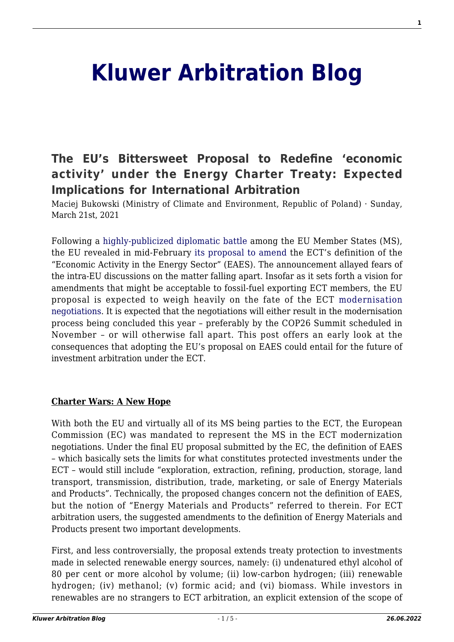# **[Kluwer Arbitration Blog](http://arbitrationblog.kluwerarbitration.com/)**

## **[The EU's Bittersweet Proposal to Redefine 'economic](http://arbitrationblog.kluwerarbitration.com/2021/03/21/the-eus-bittersweet-proposal-to-redefine-economic-activity-under-the-energy-charter-treaty-expected-implications-for-international-arbitration/) [activity' under the Energy Charter Treaty: Expected](http://arbitrationblog.kluwerarbitration.com/2021/03/21/the-eus-bittersweet-proposal-to-redefine-economic-activity-under-the-energy-charter-treaty-expected-implications-for-international-arbitration/) [Implications for International Arbitration](http://arbitrationblog.kluwerarbitration.com/2021/03/21/the-eus-bittersweet-proposal-to-redefine-economic-activity-under-the-energy-charter-treaty-expected-implications-for-international-arbitration/)**

Maciej Bukowski (Ministry of Climate and Environment, Republic of Poland) · Sunday, March 21st, 2021

Following a [highly-publicized diplomatic battle](https://www.euractiv.com/section/energy/news/energy-charter-treaty-reform-reaches-milestone-with-little-progress-to-show/) among the EU Member States (MS), the EU revealed in mid-February [its proposal to amend](https://www.euractiv.com/section/energy/news/eu-pushes-for-fossil-fuel-phase-out-in-last-chance-energy-charter-treaty-talks/) the ECT's definition of the "Economic Activity in the Energy Sector" (EAES). The announcement allayed fears of the intra-EU discussions on the matter falling apart. Insofar as it sets forth a vision for amendments that might be acceptable to fossil-fuel exporting ECT members, the EU proposal is expected to weigh heavily on the fate of the ECT [modernisation](http://arbitrationblog.kluwerarbitration.com/2020/07/20/ect-modernisation-perspectives-an-introduction/) [negotiations.](http://arbitrationblog.kluwerarbitration.com/2020/07/20/ect-modernisation-perspectives-an-introduction/) It is expected that the negotiations will either result in the modernisation process being concluded this year – preferably by the COP26 Summit scheduled in November – or will otherwise fall apart. This post offers an early look at the consequences that adopting the EU's proposal on EAES could entail for the future of investment arbitration under the ECT.

#### **Charter Wars: A New Hope**

With both the EU and virtually all of its MS being parties to the ECT, the European Commission (EC) was mandated to represent the MS in the ECT modernization negotiations. Under the final EU proposal submitted by the EC, the definition of EAES – which basically sets the limits for what constitutes protected investments under the ECT – would still include "exploration, extraction, refining, production, storage, land transport, transmission, distribution, trade, marketing, or sale of Energy Materials and Products". Technically, the proposed changes concern not the definition of EAES, but the notion of "Energy Materials and Products" referred to therein. For ECT arbitration users, the suggested amendments to the definition of Energy Materials and Products present two important developments.

First, and less controversially, the proposal extends treaty protection to investments made in selected renewable energy sources, namely: (i) undenatured ethyl alcohol of 80 per cent or more alcohol by volume; (ii) low-carbon hydrogen; (iii) renewable hydrogen; (iv) methanol; (v) formic acid; and (vi) biomass. While investors in renewables are no strangers to ECT arbitration, an explicit extension of the scope of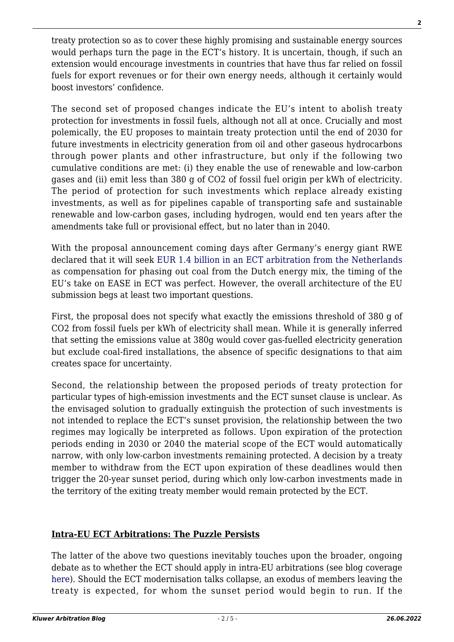treaty protection so as to cover these highly promising and sustainable energy sources would perhaps turn the page in the ECT's history. It is uncertain, though, if such an extension would encourage investments in countries that have thus far relied on fossil fuels for export revenues or for their own energy needs, although it certainly would boost investors' confidence.

The second set of proposed changes indicate the EU's intent to abolish treaty protection for investments in fossil fuels, although not all at once. Crucially and most polemically, the EU proposes to maintain treaty protection until the end of 2030 for future investments in electricity generation from oil and other gaseous hydrocarbons through power plants and other infrastructure, but only if the following two cumulative conditions are met: (i) they enable the use of renewable and low-carbon gases and (ii) emit less than 380 g of CO2 of fossil fuel origin per kWh of electricity. The period of protection for such investments which replace already existing investments, as well as for pipelines capable of transporting safe and sustainable renewable and low-carbon gases, including hydrogen, would end ten years after the amendments take full or provisional effect, but no later than in 2040.

With the proposal announcement coming days after Germany's energy giant RWE declared that it will seek [EUR 1.4 billion in an ECT arbitration from the Netherlands](https://www.euractiv.com/section/energy/news/germanys-rwe-uses-energy-charter-treaty-to-challenge-dutch-coal-phase-out/) as compensation for phasing out coal from the Dutch energy mix, the timing of the EU's take on EASE in ECT was perfect. However, the overall architecture of the EU submission begs at least two important questions.

First, the proposal does not specify what exactly the emissions threshold of 380 g of CO2 from fossil fuels per kWh of electricity shall mean. While it is generally inferred that setting the emissions value at 380g would cover gas-fuelled electricity generation but exclude coal-fired installations, the absence of specific designations to that aim creates space for uncertainty.

Second, the relationship between the proposed periods of treaty protection for particular types of high-emission investments and the ECT sunset clause is unclear. As the envisaged solution to gradually extinguish the protection of such investments is not intended to replace the ECT's sunset provision, the relationship between the two regimes may logically be interpreted as follows. Upon expiration of the protection periods ending in 2030 or 2040 the material scope of the ECT would automatically narrow, with only low-carbon investments remaining protected. A decision by a treaty member to withdraw from the ECT upon expiration of these deadlines would then trigger the 20-year sunset period, during which only low-carbon investments made in the territory of the exiting treaty member would remain protected by the ECT.

### **Intra-EU ECT Arbitrations: The Puzzle Persists**

The latter of the above two questions inevitably touches upon the broader, ongoing debate as to whether the ECT should apply in intra-EU arbitrations (see blog coverage [here\)](http://arbitrationblog.kluwerarbitration.com/category/intra-eu-bits/). Should the ECT modernisation talks collapse, an exodus of members leaving the treaty is expected, for whom the sunset period would begin to run. If the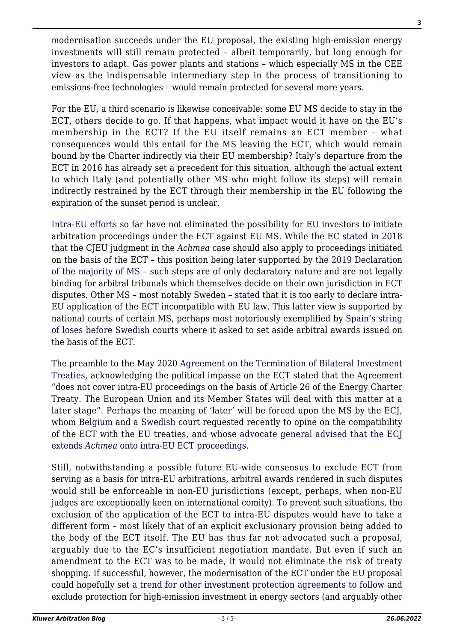modernisation succeeds under the EU proposal, the existing high-emission energy investments will still remain protected – albeit temporarily, but long enough for investors to adapt. Gas power plants and stations – which especially MS in the CEE view as the indispensable intermediary step in the process of transitioning to emissions-free technologies – would remain protected for several more years.

For the EU, a third scenario is likewise conceivable: some EU MS decide to stay in the ECT, others decide to go. If that happens, what impact would it have on the EU's membership in the ECT? If the EU itself remains an ECT member – what consequences would this entail for the MS leaving the ECT, which would remain bound by the Charter indirectly via their EU membership? Italy's departure from the ECT in 2016 has already set a precedent for this situation, although the actual extent to which Italy (and potentially other MS who might follow its steps) will remain indirectly restrained by the ECT through their membership in the EU following the expiration of the sunset period is unclear.

[Intra-EU efforts](http://arbitrationblog.kluwerarbitration.com/2020/07/26/ect-modernisation-perspectives-the-energy-charter-treaty-and-eu-law-a-cherry-picking-relationship/) so far have not eliminated the possibility for EU investors to initiate arbitration proceedings under the ECT against EU MS. While the EC [stated in 2018](https://eur-lex.europa.eu/legal-content/EN/TXT/?uri=COM%3A2018%3A547%3AFIN) that the CJEU judgment in the *Achmea* case should also apply to proceedings initiated on the basis of the ECT – this position being later supported by [the 2019 Declaration](https://ec.europa.eu/info/publications/190117-bilateral-investment-treaties_en) [of the majority of MS](https://ec.europa.eu/info/publications/190117-bilateral-investment-treaties_en) – such steps are of only declaratory nature and are not legally binding for arbitral tribunals which themselves decide on their own jurisdiction in ECT disputes. Other MS – most notably Sweden – [stated](https://regeringen.se/artiklar/2019/01/eus-medlemsstater-overens-om-att-saga%20-upp-sina-bilaterala-investeringsavtal/) that it is too early to declare intra-EU application of the ECT incompatible with EU law. This latter view is supported by national courts of certain MS, perhaps most notoriously exemplified by [Spain's string](https://globalarbitrationnews.com/the-swedish-court-of-appeal-again-rejects-spains-request-of-a-preliminary-ruling-from-the-court-of-justice-of-the-european-union-cjeu/) [of loses before Swedish](https://globalarbitrationnews.com/the-swedish-court-of-appeal-again-rejects-spains-request-of-a-preliminary-ruling-from-the-court-of-justice-of-the-european-union-cjeu/) courts where it asked to set aside arbitral awards issued on the basis of the ECT.

The preamble to the May 2020 [Agreement on the Termination of Bilateral Investment](https://www.consilium.europa.eu/en/documents-publications/treaties-agreements/agreement/?id=2019049&DocLanguage=en) [Treaties,](https://www.consilium.europa.eu/en/documents-publications/treaties-agreements/agreement/?id=2019049&DocLanguage=en) acknowledging the political impasse on the ECT stated that the Agreement "does not cover intra-EU proceedings on the basis of Article 26 of the Energy Charter Treaty. The European Union and its Member States will deal with this matter at a later stage". Perhaps the meaning of 'later' will be forced upon the MS by the ECJ, whom [Belgium](https://diplomatie.belgium.be/en/newsroom/news/2020/belgium_requests_opinion_intra_european_application_arbitration_provisions) and a [Swedish](https://globalarbitrationreview.com/achmea/swedish-court-asks-ecj-rule-ect) court requested recently to opine on the compatibility of the ECT with the EU treaties, and whose [advocate general advised that the ECJ](http://curia.europa.eu/juris/document/document.jsf?text=&docid=238441&pageIndex=0&doclang=FR&mode=req&dir=&occ=first&part=1&cid=8278723) [extends](http://curia.europa.eu/juris/document/document.jsf?text=&docid=238441&pageIndex=0&doclang=FR&mode=req&dir=&occ=first&part=1&cid=8278723) *[Achmea](http://curia.europa.eu/juris/document/document.jsf?text=&docid=238441&pageIndex=0&doclang=FR&mode=req&dir=&occ=first&part=1&cid=8278723)* [onto intra-EU ECT proceedings.](http://curia.europa.eu/juris/document/document.jsf?text=&docid=238441&pageIndex=0&doclang=FR&mode=req&dir=&occ=first&part=1&cid=8278723)

Still, notwithstanding a possible future EU-wide consensus to exclude ECT from serving as a basis for intra-EU arbitrations, arbitral awards rendered in such disputes would still be enforceable in non-EU jurisdictions (except, perhaps, when non-EU judges are exceptionally keen on international comity). To prevent such situations, the exclusion of the application of the ECT to intra-EU disputes would have to take a different form – most likely that of an explicit exclusionary provision being added to the body of the ECT itself. The EU has thus far not advocated such a proposal, arguably due to the EC's insufficient negotiation mandate. But even if such an amendment to the ECT was to be made, it would not eliminate the risk of treaty shopping. If successful, however, the modernisation of the ECT under the EU proposal could hopefully set [a trend for other investment protection agreements to follow](http://arbitrationblog.kluwerarbitration.com/2020/07/25/ect-modernisation-perspectives-can-the-eu-make-the-ect-the-greenest-investment-treaty-of-them-all/) and exclude protection for high-emission investment in energy sectors (and arguably other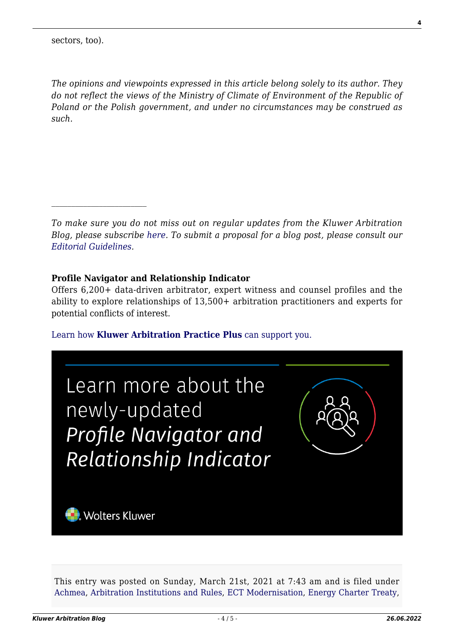*The opinions and viewpoints expressed in this article belong solely to its author. They do not reflect the views of the Ministry of Climate of Environment of the Republic of Poland or the Polish government, and under no circumstances may be construed as such.*

*To make sure you do not miss out on regular updates from the Kluwer Arbitration Blog, please subscribe [here](http://arbitrationblog.kluwerarbitration.com/newsletter/). To submit a proposal for a blog post, please consult our [Editorial Guidelines.](http://arbitrationblog.kluwerarbitration.com/editorial-guidelines/)*

#### **Profile Navigator and Relationship Indicator**

Offers 6,200+ data-driven arbitrator, expert witness and counsel profiles and the ability to explore relationships of 13,500+ arbitration practitioners and experts for potential conflicts of interest.

[Learn how](https://www.wolterskluwer.com/en/solutions/kluwerarbitration/practiceplus?utm_source=arbitrationblog&utm_medium=articleCTA&utm_campaign=article-banner) **[Kluwer Arbitration Practice Plus](https://www.wolterskluwer.com/en/solutions/kluwerarbitration/practiceplus?utm_source=arbitrationblog&utm_medium=articleCTA&utm_campaign=article-banner)** [can support you.](https://www.wolterskluwer.com/en/solutions/kluwerarbitration/practiceplus?utm_source=arbitrationblog&utm_medium=articleCTA&utm_campaign=article-banner)



This entry was posted on Sunday, March 21st, 2021 at 7:43 am and is filed under [Achmea](http://arbitrationblog.kluwerarbitration.com/category/achmea/), [Arbitration Institutions and Rules](http://arbitrationblog.kluwerarbitration.com/category/arbitration-institutions-and-rules/), [ECT Modernisation](http://arbitrationblog.kluwerarbitration.com/category/ect-modernisation/), [Energy Charter Treaty,](http://arbitrationblog.kluwerarbitration.com/category/energy-charter-treaty/)